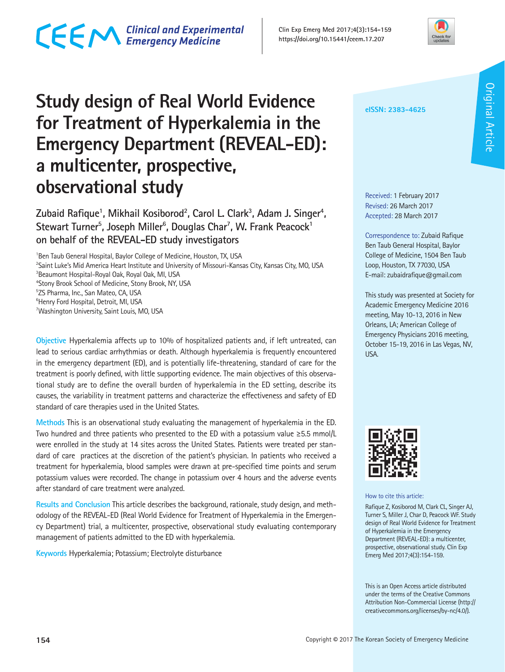## CECM Clinical and Experimental



**Original Article** Original Article

## **for Treatment of Hyperkalemia in the Emergency Department (REVEAL-ED): a multicenter, prospective, observational study**

**Study design of Real World Evidence** 

Zubaid Rafique<sup>1</sup>, Mikhail Kosiborod<sup>2</sup>, Carol L. Clark<sup>3</sup>, Adam J. Singer<sup>4</sup>,  $\mathsf{Stewart\ Iurner^5}$ , Joseph Miller $^6$ , Douglas Char<sup>7</sup>, W. Frank Peacock<sup>1</sup> **on behalf of the REVEAL-ED study investigators**

<sup>1</sup>Ben Taub General Hospital, Baylor College of Medicine, Houston, TX, USA

2 Saint Luke's Mid America Heart Institute and University of Missouri-Kansas City, Kansas City, MO, USA 3 Beaumont Hospital-Royal Oak, Royal Oak, MI, USA

4 Stony Brook School of Medicine, Stony Brook, NY, USA

5 ZS Pharma, Inc., San Mateo, CA, USA

6 Henry Ford Hospital, Detroit, MI, USA

7 Washington University, Saint Louis, MO, USA

**Objective** Hyperkalemia affects up to 10% of hospitalized patients and, if left untreated, can lead to serious cardiac arrhythmias or death. Although hyperkalemia is frequently encountered in the emergency department (ED), and is potentially life-threatening, standard of care for the treatment is poorly defined, with little supporting evidence. The main objectives of this observational study are to define the overall burden of hyperkalemia in the ED setting, describe its causes, the variability in treatment patterns and characterize the effectiveness and safety of ED standard of care therapies used in the United States.

**Methods** This is an observational study evaluating the management of hyperkalemia in the ED. Two hundred and three patients who presented to the ED with a potassium value ≥5.5 mmol/L were enrolled in the study at 14 sites across the United States. Patients were treated per standard of care practices at the discretion of the patient's physician. In patients who received a treatment for hyperkalemia, blood samples were drawn at pre-specified time points and serum potassium values were recorded. The change in potassium over 4 hours and the adverse events after standard of care treatment were analyzed.

**Results and Conclusion** This article describes the background, rationale, study design, and methodology of the REVEAL-ED (Real World Evidence for Treatment of Hyperkalemia in the Emergency Department) trial, a multicenter, prospective, observational study evaluating contemporary management of patients admitted to the ED with hyperkalemia.

**Keywords** Hyperkalemia; Potassium; Electrolyte disturbance

Received: 1 February 2017 Revised: 26 March 2017 Accepted: 28 March 2017

Correspondence to: Zubaid Rafique Ben Taub General Hospital, Baylor College of Medicine, 1504 Ben Taub Loop, Houston, TX 77030, USA E-mail: zubaidrafique@gmail.com

This study was presented at Society for Academic Emergency Medicine 2016 meeting, May 10-13, 2016 in New Orleans, LA; American College of Emergency Physicians 2016 meeting, October 15-19, 2016 in Las Vegas, NV, USA.



How to cite this article:

Rafique Z, Kosiborod M, Clark CL, Singer AJ, Turner S, Miller J, Char D, Peacock WF. Study design of Real World Evidence for Treatment of Hyperkalemia in the Emergency Department (REVEAL-ED): a multicenter, prospective, observational study. Clin Exp Emerg Med 2017;4(3):154-159.

This is an Open Access article distributed under the terms of the Creative Commons Attribution Non-Commercial License (http:// creativecommons.org/licenses/by-nc/4.0/).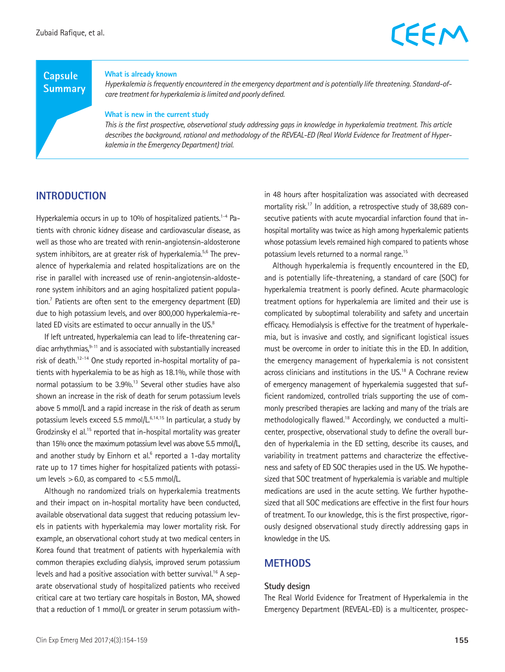### **Capsule Summary**

#### **What is already known**

*Hyperkalemia is frequently encountered in the emergency department and is potentially life threatening. Standard-ofcare treatment for hyperkalemia is limited and poorly defined.*

#### **What is new in the current study**

*This is the first prospective, observational study addressing gaps in knowledge in hyperkalemia treatment. This article describes the background, rational and methodology of the REVEAL-ED (Real World Evidence for Treatment of Hyperkalemia in the Emergency Department) trial.*

### **INTRODUCTION**

Hyperkalemia occurs in up to 10% of hospitalized patients.<sup>1-4</sup> Patients with chronic kidney disease and cardiovascular disease, as well as those who are treated with renin-angiotensin-aldosterone system inhibitors, are at greater risk of hyperkalemia.<sup>5,6</sup> The prevalence of hyperkalemia and related hospitalizations are on the rise in parallel with increased use of renin-angiotensin-aldosterone system inhibitors and an aging hospitalized patient population.7 Patients are often sent to the emergency department (ED) due to high potassium levels, and over 800,000 hyperkalemia-related ED visits are estimated to occur annually in the US.<sup>8</sup>

If left untreated, hyperkalemia can lead to life-threatening car $di$ ac arrhythmias, $9-11$  and is associated with substantially increased risk of death.12-14 One study reported in-hospital mortality of patients with hyperkalemia to be as high as 18.1%, while those with normal potassium to be 3.9%.<sup>13</sup> Several other studies have also shown an increase in the risk of death for serum potassium levels above 5 mmol/L and a rapid increase in the risk of death as serum potassium levels exceed 5.5 mmol/L.6,14,15 In particular, a study by Grodzinsky el al.<sup>15</sup> reported that in-hospital mortality was greater than 15% once the maximum potassium level was above 5.5 mmol/L, and another study by Einhorn et al.<sup>6</sup> reported a 1-day mortality rate up to 17 times higher for hospitalized patients with potassium levels  $>6.0$ , as compared to  $< 5.5$  mmol/L.

Although no randomized trials on hyperkalemia treatments and their impact on in-hospital mortality have been conducted, available observational data suggest that reducing potassium levels in patients with hyperkalemia may lower mortality risk. For example, an observational cohort study at two medical centers in Korea found that treatment of patients with hyperkalemia with common therapies excluding dialysis, improved serum potassium levels and had a positive association with better survival.16 A separate observational study of hospitalized patients who received critical care at two tertiary care hospitals in Boston, MA, showed that a reduction of 1 mmol/L or greater in serum potassium within 48 hours after hospitalization was associated with decreased mortality risk.17 In addition, a retrospective study of 38,689 consecutive patients with acute myocardial infarction found that inhospital mortality was twice as high among hyperkalemic patients whose potassium levels remained high compared to patients whose potassium levels returned to a normal range.15

Although hyperkalemia is frequently encountered in the ED, and is potentially life-threatening, a standard of care (SOC) for hyperkalemia treatment is poorly defined. Acute pharmacologic treatment options for hyperkalemia are limited and their use is complicated by suboptimal tolerability and safety and uncertain efficacy. Hemodialysis is effective for the treatment of hyperkalemia, but is invasive and costly, and significant logistical issues must be overcome in order to initiate this in the ED. In addition, the emergency management of hyperkalemia is not consistent across clinicians and institutions in the US.18 A Cochrane review of emergency management of hyperkalemia suggested that sufficient randomized, controlled trials supporting the use of commonly prescribed therapies are lacking and many of the trials are methodologically flawed.18 Accordingly, we conducted a multicenter, prospective, observational study to define the overall burden of hyperkalemia in the ED setting, describe its causes, and variability in treatment patterns and characterize the effectiveness and safety of ED SOC therapies used in the US. We hypothesized that SOC treatment of hyperkalemia is variable and multiple medications are used in the acute setting. We further hypothesized that all SOC medications are effective in the first four hours of treatment. To our knowledge, this is the first prospective, rigorously designed observational study directly addressing gaps in knowledge in the US.

### **METHODS**

#### **Study design**

The Real World Evidence for Treatment of Hyperkalemia in the Emergency Department (REVEAL-ED) is a multicenter, prospec-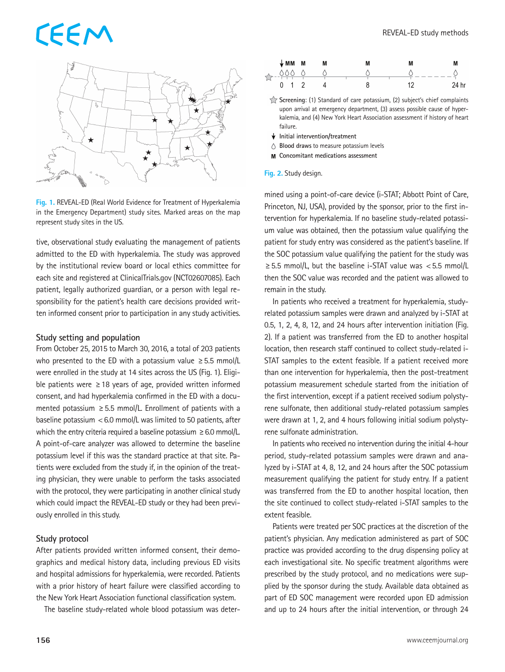## EEM



**Fig. 1.** REVEAL-ED (Real World Evidence for Treatment of Hyperkalemia in the Emergency Department) study sites. Marked areas on the map represent study sites in the US.

tive, observational study evaluating the management of patients admitted to the ED with hyperkalemia. The study was approved by the institutional review board or local ethics committee for each site and registered at ClinicalTrials.gov (NCT02607085). Each patient, legally authorized guardian, or a person with legal responsibility for the patient's health care decisions provided written informed consent prior to participation in any study activities.

#### **Study setting and population**

From October 25, 2015 to March 30, 2016, a total of 203 patients who presented to the ED with a potassium value  $\geq$  5.5 mmol/L were enrolled in the study at 14 sites across the US (Fig. 1). Eligible patients were  $\geq$  18 years of age, provided written informed consent, and had hyperkalemia confirmed in the ED with a documented potassium  $\geq$  5.5 mmol/L. Enrollment of patients with a baseline potassium  $<$  6.0 mmol/L was limited to 50 patients, after which the entry criteria required a baseline potassium  $\geq 6.0$  mmol/L. A point-of-care analyzer was allowed to determine the baseline potassium level if this was the standard practice at that site. Patients were excluded from the study if, in the opinion of the treating physician, they were unable to perform the tasks associated with the protocol, they were participating in another clinical study which could impact the REVEAL-ED study or they had been previously enrolled in this study.

#### **Study protocol**

After patients provided written informed consent, their demographics and medical history data, including previous ED visits and hospital admissions for hyperkalemia, were recorded. Patients with a prior history of heart failure were classified according to the New York Heart Association functional classification system.

The baseline study-related whole blood potassium was deter-



Screening: (1) Standard of care potassium, (2) subject's chief complaints upon arrival at emergency department, (3) assess possible cause of hyperkalemia, and (4) New York Heart Association assessment if history of heart failure.

**Initial intervention/treatment**

**Blood draws** to measure potassium levels

**Concomitant medications assessment**

#### **Fig. 2.** Study design.

mined using a point-of-care device (i-STAT; Abbott Point of Care, Princeton, NJ, USA), provided by the sponsor, prior to the first intervention for hyperkalemia. If no baseline study-related potassium value was obtained, then the potassium value qualifying the patient for study entry was considered as the patient's baseline. If the SOC potassium value qualifying the patient for the study was  $\geq$  5.5 mmol/L, but the baseline i-STAT value was  $<$  5.5 mmol/L then the SOC value was recorded and the patient was allowed to remain in the study.

In patients who received a treatment for hyperkalemia, studyrelated potassium samples were drawn and analyzed by i-STAT at 0.5, 1, 2, 4, 8, 12, and 24 hours after intervention initiation (Fig. 2). If a patient was transferred from the ED to another hospital location, then research staff continued to collect study-related i-STAT samples to the extent feasible. If a patient received more than one intervention for hyperkalemia, then the post-treatment potassium measurement schedule started from the initiation of the first intervention, except if a patient received sodium polystyrene sulfonate, then additional study-related potassium samples were drawn at 1, 2, and 4 hours following initial sodium polystyrene sulfonate administration.

In patients who received no intervention during the initial 4-hour period, study-related potassium samples were drawn and analyzed by i-STAT at 4, 8, 12, and 24 hours after the SOC potassium measurement qualifying the patient for study entry. If a patient was transferred from the ED to another hospital location, then the site continued to collect study-related i-STAT samples to the extent feasible.

Patients were treated per SOC practices at the discretion of the patient's physician. Any medication administered as part of SOC practice was provided according to the drug dispensing policy at each investigational site. No specific treatment algorithms were prescribed by the study protocol, and no medications were supplied by the sponsor during the study. Available data obtained as part of ED SOC management were recorded upon ED admission and up to 24 hours after the initial intervention, or through 24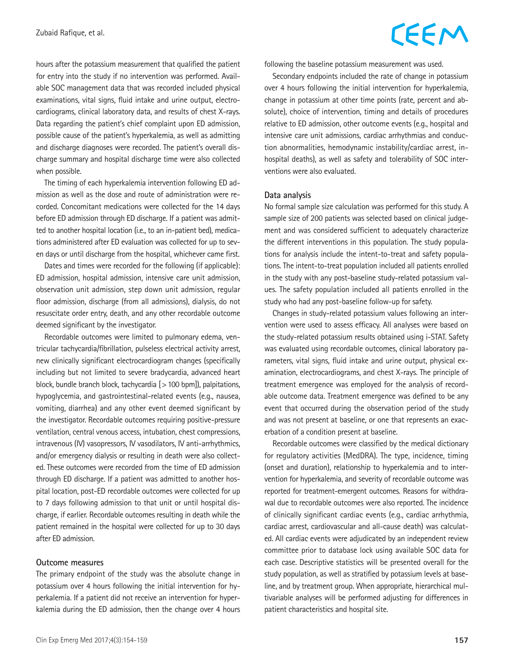hours after the potassium measurement that qualified the patient for entry into the study if no intervention was performed. Available SOC management data that was recorded included physical examinations, vital signs, fluid intake and urine output, electrocardiograms, clinical laboratory data, and results of chest X-rays. Data regarding the patient's chief complaint upon ED admission, possible cause of the patient's hyperkalemia, as well as admitting and discharge diagnoses were recorded. The patient's overall discharge summary and hospital discharge time were also collected when possible.

The timing of each hyperkalemia intervention following ED admission as well as the dose and route of administration were recorded. Concomitant medications were collected for the 14 days before ED admission through ED discharge. If a patient was admitted to another hospital location (i.e., to an in-patient bed), medications administered after ED evaluation was collected for up to seven days or until discharge from the hospital, whichever came first.

Dates and times were recorded for the following (if applicable): ED admission, hospital admission, intensive care unit admission, observation unit admission, step down unit admission, regular floor admission, discharge (from all admissions), dialysis, do not resuscitate order entry, death, and any other recordable outcome deemed significant by the investigator.

Recordable outcomes were limited to pulmonary edema, ventricular tachycardia/fibrillation, pulseless electrical activity arrest, new clinically significant electrocardiogram changes (specifically including but not limited to severe bradycardia, advanced heart block, bundle branch block, tachycardia [>100 bpm]), palpitations, hypoglycemia, and gastrointestinal-related events (e.g., nausea, vomiting, diarrhea) and any other event deemed significant by the investigator. Recordable outcomes requiring positive-pressure ventilation, central venous access, intubation, chest compressions, intravenous (IV) vasopressors, IV vasodilators, IV anti-arrhythmics, and/or emergency dialysis or resulting in death were also collected. These outcomes were recorded from the time of ED admission through ED discharge. If a patient was admitted to another hospital location, post-ED recordable outcomes were collected for up to 7 days following admission to that unit or until hospital discharge, if earlier. Recordable outcomes resulting in death while the patient remained in the hospital were collected for up to 30 days after ED admission.

#### **Outcome measures**

The primary endpoint of the study was the absolute change in potassium over 4 hours following the initial intervention for hyperkalemia. If a patient did not receive an intervention for hyperkalemia during the ED admission, then the change over 4 hours

#### Clin Exp Emerg Med 2017;4(3):154-159 **157**

## CEEM

following the baseline potassium measurement was used.

Secondary endpoints included the rate of change in potassium over 4 hours following the initial intervention for hyperkalemia, change in potassium at other time points (rate, percent and absolute), choice of intervention, timing and details of procedures relative to ED admission, other outcome events (e.g., hospital and intensive care unit admissions, cardiac arrhythmias and conduction abnormalities, hemodynamic instability/cardiac arrest, inhospital deaths), as well as safety and tolerability of SOC interventions were also evaluated.

#### **Data analysis**

No formal sample size calculation was performed for this study. A sample size of 200 patients was selected based on clinical judgement and was considered sufficient to adequately characterize the different interventions in this population. The study populations for analysis include the intent-to-treat and safety populations. The intent-to-treat population included all patients enrolled in the study with any post-baseline study-related potassium values. The safety population included all patients enrolled in the study who had any post-baseline follow-up for safety.

Changes in study-related potassium values following an intervention were used to assess efficacy. All analyses were based on the study-related potassium results obtained using i-STAT. Safety was evaluated using recordable outcomes, clinical laboratory parameters, vital signs, fluid intake and urine output, physical examination, electrocardiograms, and chest X-rays. The principle of treatment emergence was employed for the analysis of recordable outcome data. Treatment emergence was defined to be any event that occurred during the observation period of the study and was not present at baseline, or one that represents an exacerbation of a condition present at baseline.

Recordable outcomes were classified by the medical dictionary for regulatory activities (MedDRA). The type, incidence, timing (onset and duration), relationship to hyperkalemia and to intervention for hyperkalemia, and severity of recordable outcome was reported for treatment-emergent outcomes. Reasons for withdrawal due to recordable outcomes were also reported. The incidence of clinically significant cardiac events (e.g., cardiac arrhythmia, cardiac arrest, cardiovascular and all-cause death) was calculated. All cardiac events were adjudicated by an independent review committee prior to database lock using available SOC data for each case. Descriptive statistics will be presented overall for the study population, as well as stratified by potassium levels at baseline, and by treatment group. When appropriate, hierarchical multivariable analyses will be performed adjusting for differences in patient characteristics and hospital site.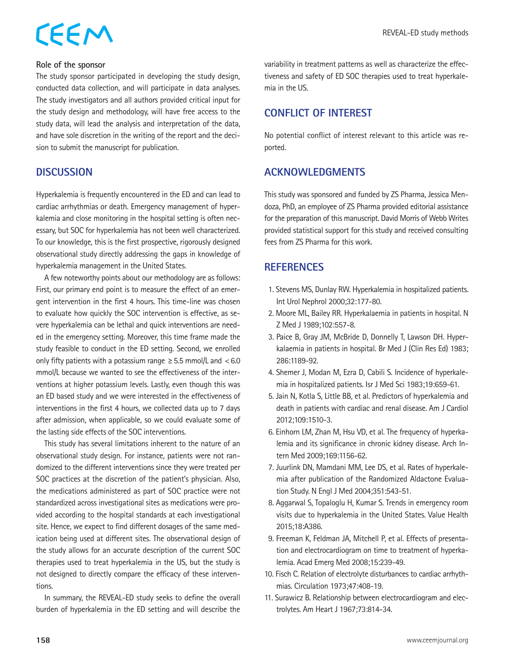# CEEM

### **Role of the sponsor**

The study sponsor participated in developing the study design, conducted data collection, and will participate in data analyses. The study investigators and all authors provided critical input for the study design and methodology, will have free access to the study data, will lead the analysis and interpretation of the data, and have sole discretion in the writing of the report and the decision to submit the manuscript for publication.

## **DISCUSSION**

Hyperkalemia is frequently encountered in the ED and can lead to cardiac arrhythmias or death. Emergency management of hyperkalemia and close monitoring in the hospital setting is often necessary, but SOC for hyperkalemia has not been well characterized. To our knowledge, this is the first prospective, rigorously designed observational study directly addressing the gaps in knowledge of hyperkalemia management in the United States.

A few noteworthy points about our methodology are as follows: First, our primary end point is to measure the effect of an emergent intervention in the first 4 hours. This time-line was chosen to evaluate how quickly the SOC intervention is effective, as severe hyperkalemia can be lethal and quick interventions are needed in the emergency setting. Moreover, this time frame made the study feasible to conduct in the ED setting. Second, we enrolled only fifty patients with a potassium range  $\geq$  5.5 mmol/L and  $\lt$  6.0 mmol/L because we wanted to see the effectiveness of the interventions at higher potassium levels. Lastly, even though this was an ED based study and we were interested in the effectiveness of interventions in the first 4 hours, we collected data up to 7 days after admission, when applicable, so we could evaluate some of the lasting side effects of the SOC interventions.

This study has several limitations inherent to the nature of an observational study design. For instance, patients were not randomized to the different interventions since they were treated per SOC practices at the discretion of the patient's physician. Also, the medications administered as part of SOC practice were not standardized across investigational sites as medications were provided according to the hospital standards at each investigational site. Hence, we expect to find different dosages of the same medication being used at different sites. The observational design of the study allows for an accurate description of the current SOC therapies used to treat hyperkalemia in the US, but the study is not designed to directly compare the efficacy of these interventions.

In summary, the REVEAL-ED study seeks to define the overall burden of hyperkalemia in the ED setting and will describe the

variability in treatment patterns as well as characterize the effectiveness and safety of ED SOC therapies used to treat hyperkalemia in the US.

## **CONFLICT OF INTEREST**

No potential conflict of interest relevant to this article was reported.

## **ACKNOWLEDGMENTS**

This study was sponsored and funded by ZS Pharma, Jessica Mendoza, PhD, an employee of ZS Pharma provided editorial assistance for the preparation of this manuscript. David Morris of Webb Writes provided statistical support for this study and received consulting fees from ZS Pharma for this work.

### **REFERENCES**

- 1. Stevens MS, Dunlay RW. Hyperkalemia in hospitalized patients. Int Urol Nephrol 2000;32:177-80.
- 2. Moore ML, Bailey RR. Hyperkalaemia in patients in hospital. N Z Med J 1989;102:557-8.
- 3. Paice B, Gray JM, McBride D, Donnelly T, Lawson DH. Hyperkalaemia in patients in hospital. Br Med J (Clin Res Ed) 1983; 286:1189-92.
- 4. Shemer J, Modan M, Ezra D, Cabili S. Incidence of hyperkalemia in hospitalized patients. Isr J Med Sci 1983;19:659-61.
- 5. Jain N, Kotla S, Little BB, et al. Predictors of hyperkalemia and death in patients with cardiac and renal disease. Am J Cardiol 2012;109:1510-3.
- 6. Einhorn LM, Zhan M, Hsu VD, et al. The frequency of hyperkalemia and its significance in chronic kidney disease. Arch Intern Med 2009;169:1156-62.
- 7. Juurlink DN, Mamdani MM, Lee DS, et al. Rates of hyperkalemia after publication of the Randomized Aldactone Evaluation Study. N Engl J Med 2004;351:543-51.
- 8. Aggarwal S, Topaloglu H, Kumar S. Trends in emergency room visits due to hyperkalemia in the United States. Value Health 2015;18:A386.
- 9. Freeman K, Feldman JA, Mitchell P, et al. Effects of presentation and electrocardiogram on time to treatment of hyperkalemia. Acad Emerg Med 2008;15:239-49.
- 10. Fisch C. Relation of electrolyte disturbances to cardiac arrhythmias. Circulation 1973;47:408-19.
- 11. Surawicz B. Relationship between electrocardiogram and electrolytes. Am Heart J 1967;73:814-34.